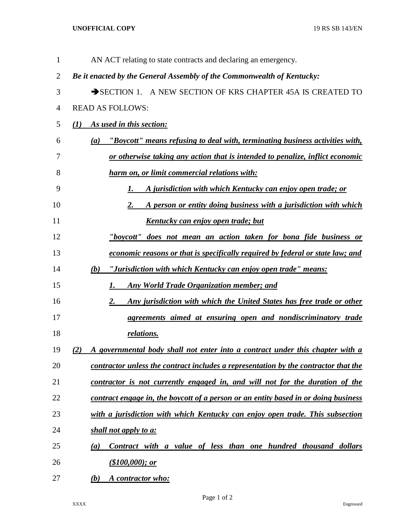## **UNOFFICIAL COPY** 19 RS SB 143/EN

| 1              | AN ACT relating to state contracts and declaring an emergency.                       |
|----------------|--------------------------------------------------------------------------------------|
| $\overline{2}$ | Be it enacted by the General Assembly of the Commonwealth of Kentucky:               |
| 3              | SECTION 1. A NEW SECTION OF KRS CHAPTER 45A IS CREATED TO                            |
| 4              | <b>READ AS FOLLOWS:</b>                                                              |
| 5              | As used in this section:<br>(I)                                                      |
| 6              | "Boycott" means refusing to deal with, terminating business activities with,<br>(a)  |
| 7              | or otherwise taking any action that is intended to penalize, inflict economic        |
| 8              | harm on, or limit commercial relations with:                                         |
| 9              | A jurisdiction with which Kentucky can enjoy open trade; or<br>1.                    |
| 10             | A person or entity doing business with a jurisdiction with which<br>2.               |
| 11             | <u>Kentucky can enjoy open trade; but</u>                                            |
| 12             | "boycott" does not mean an action taken for bona fide business or                    |
| 13             | economic reasons or that is specifically required by federal or state law; and       |
| 14             | "Jurisdiction with which Kentucky can enjoy open trade" means:<br>(b)                |
| 15             | <b>Any World Trade Organization member; and</b><br>1.                                |
| 16             | Any jurisdiction with which the United States has free trade or other<br>2.          |
| 17             | agreements aimed at ensuring open and nondiscriminatory trade                        |
| 18             | relations.                                                                           |
| 19             | A governmental body shall not enter into a contract under this chapter with a<br>(2) |
| 20             | contractor unless the contract includes a representation by the contractor that the  |
| 21             | contractor is not currently engaged in, and will not for the duration of the         |
| 22             | contract engage in, the boycott of a person or an entity based in or doing business  |
| 23             | with a jurisdiction with which Kentucky can enjoy open trade. This subsection        |
| 24             | shall not apply to a:                                                                |
| 25             | Contract with a value of less than one hundred thousand dollars<br>(a)               |
| 26             | (\$100,000); or                                                                      |
| 27             | (b)<br>A contractor who:                                                             |